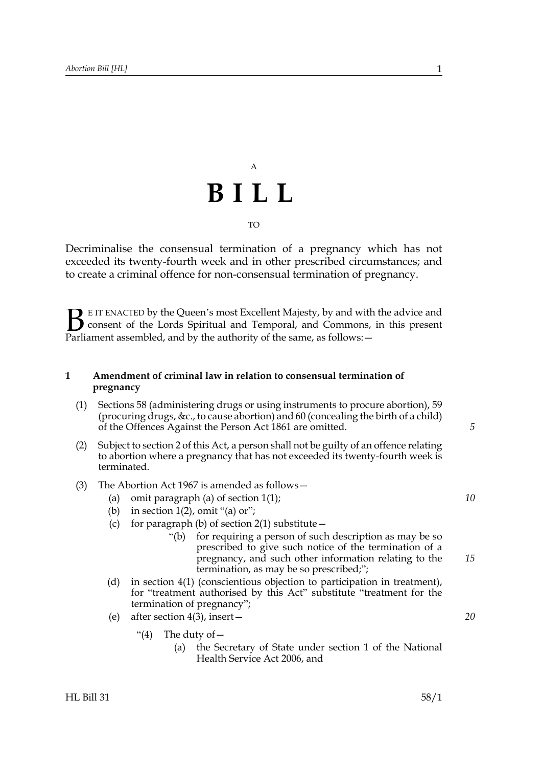## A **BILL** TO

Decriminalise the consensual termination of a pregnancy which has not exceeded its twenty-fourth week and in other prescribed circumstances; and to create a criminal offence for non-consensual termination of pregnancy.

E IT ENACTED by the Queen's most Excellent Majesty, by and with the advice and consent of the Lords Spiritual and Temporal, and Commons, in this present Parliament assembled, and by the authority of the same, as follows: - $\mathbf{B}_{\text{e}$ 

### **1 Amendment of criminal law in relation to consensual termination of pregnancy**

- (1) Sections 58 (administering drugs or using instruments to procure abortion), 59 (procuring drugs, &c., to cause abortion) and 60 (concealing the birth of a child) of the Offences Against the Person Act 1861 are omitted.
- (2) Subject to section [2](#page-1-0) of this Act, a person shall not be guilty of an offence relating to abortion where a pregnancy that has not exceeded its twenty-fourth week is terminated.
- (3) The Abortion Act 1967 is amended as follows—
	- (a) omit paragraph (a) of section  $1(1)$ ;
	- (b) in section  $1(2)$ , omit "(a) or";
	- (c) for paragraph (b) of section  $2(1)$  substitute  $-$ 
		- "(b) for requiring a person of such description as may be so prescribed to give such notice of the termination of a pregnancy, and such other information relating to the termination, as may be so prescribed;";
	- (d) in section 4(1) (conscientious objection to participation in treatment), for "treatment authorised by this Act" substitute "treatment for the termination of pregnancy";
	- (e) after section 4(3), insert—
		- "(4) The duty of  $-$ 
			- (a) the Secretary of State under section 1 of the National Health Service Act 2006, and

*5*

*10*

*15*

*20*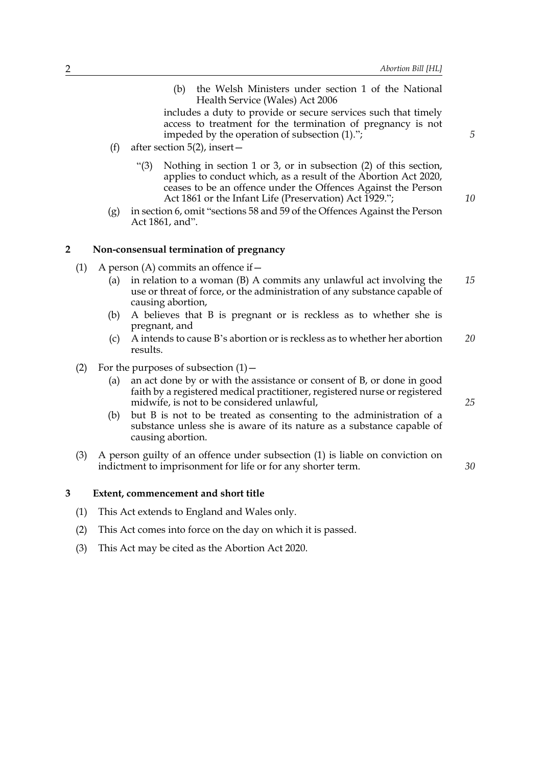(b) the Welsh Ministers under section 1 of the National Health Service (Wales) Act 2006

includes a duty to provide or secure services such that timely access to treatment for the termination of pregnancy is not impeded by the operation of subsection (1).";

- (f) after section  $5(2)$ , insert
	- "(3) Nothing in section 1 or 3, or in subsection (2) of this section, applies to conduct which, as a result of the Abortion Act 2020, ceases to be an offence under the Offences Against the Person Act 1861 or the Infant Life (Preservation) Act 1929.";
- (g) in section 6, omit "sections 58 and 59 of the Offences Against the Person Act 1861, and".

#### <span id="page-1-0"></span>**2 Non-consensual termination of pregnancy**

- <span id="page-1-1"></span>(1) A person (A) commits an offence if  $-$ 
	- (a) in relation to a woman (B) A commits any unlawful act involving the use or threat of force, or the administration of any substance capable of causing abortion, *15*
	- (b) A believes that B is pregnant or is reckless as to whether she is pregnant, and
	- (c) A intends to cause B's abortion or is reckless as to whether her abortion results. *20*
- (2) For the purposes of subsection  $(1)$ 
	- (a) an act done by or with the assistance or consent of B, or done in good faith by a registered medical practitioner, registered nurse or registered midwife, is not to be considered unlawful,
	- (b) but B is not to be treated as consenting to the administration of a substance unless she is aware of its nature as a substance capable of causing abortion.
- (3) A person guilty of an offence under subsection [\(1\)](#page-1-1) is liable on conviction on indictment to imprisonment for life or for any shorter term.

#### **3 Extent, commencement and short title**

- (1) This Act extends to England and Wales only.
- (2) This Act comes into force on the day on which it is passed.
- (3) This Act may be cited as the Abortion Act 2020.

*5*

*10*

*25*

*30*